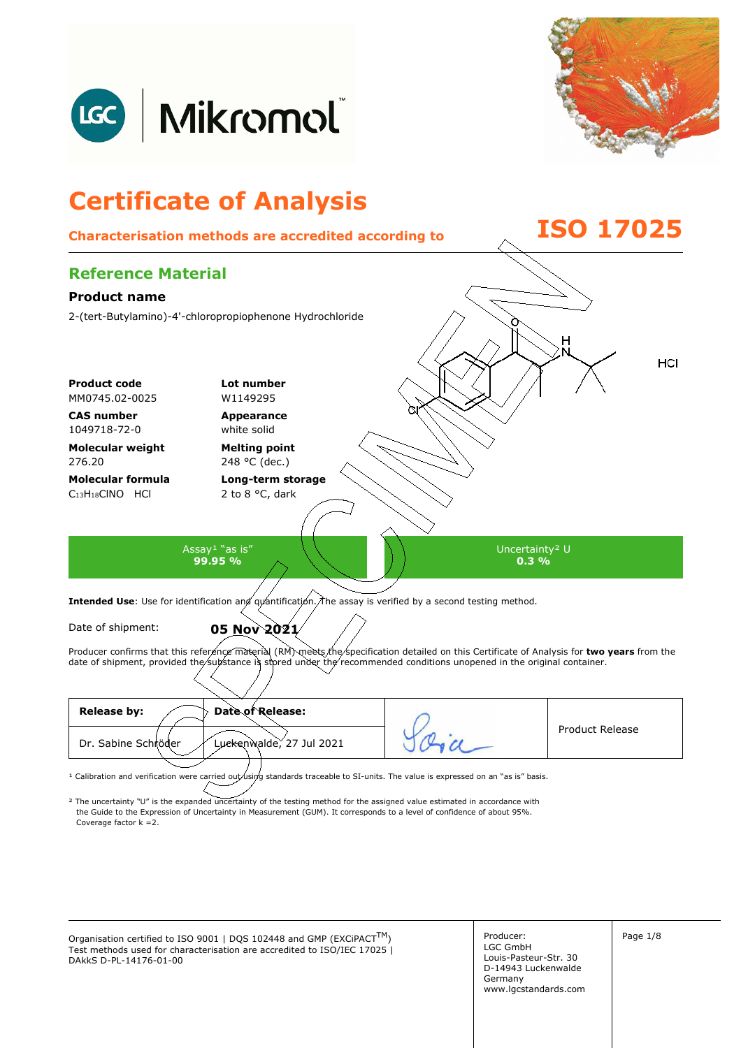



## **Certificate of Analysis Characterisation methods are accredited according to ISO 17025 Reference Material Product name**  2-(tert-Butylamino)-4'-chloropropiophenone Hydrochloride HCI **Product code Lot number** MM0745.02-0025 W1149295 **CAS number Appearance**  1049718-72-0 white solid **Molecular weight Melting point**  276.20 248 °C (dec.) **Molecular formula Long-term storage**  C<sub>13</sub>H<sub>18</sub>ClNO HCl 2 to 8 °C, dark Assay<sup>1</sup> "as is" Uncertainty² U **99.95 % 0.3 %**  Intended Use: Use for identification and quantification. The assay is verified by a second testing method. Date of shipment: **05 Nov 2021**

Producer confirms that this reference material (RM) meets the specification detailed on this Certificate of Analysis for two years from the date of shipment, provided the substance is stored under the recommended conditions unopened in the original container.

| <b>Release by:</b><br>Date of Release:          |                        |
|-------------------------------------------------|------------------------|
| Luckenwalde, 27 Jul 2021<br>Dr. Sabine Schröder | <b>Product Release</b> |
|                                                 |                        |

<sup>1</sup> Calibration and verification were carried out using standards traceable to SI-units. The value is expressed on an "as is" basis.

² The uncertainty "U" is the expanded uncertainty of the testing method for the assigned value estimated in accordance with Coverage factor k =2. the Guide to the Expression of Uncertainty in Measurement (GUM). It corresponds to a level of confidence of about 95%.

Organisation certified to ISO 9001 | DQS 102448 and GMP (EXCiPACT<sup>TM</sup>)  $\vert$  Producer:  $\vert$  Page 1/8 Test methods used for characterisation are accredited to ISO/IEC 17025 | DAkkS D-PL-14176-01-00

Producer: LGC GmbH Louis-Pasteur-Str. 30 D-14943 Luckenwalde Germany www.lgcstandards.com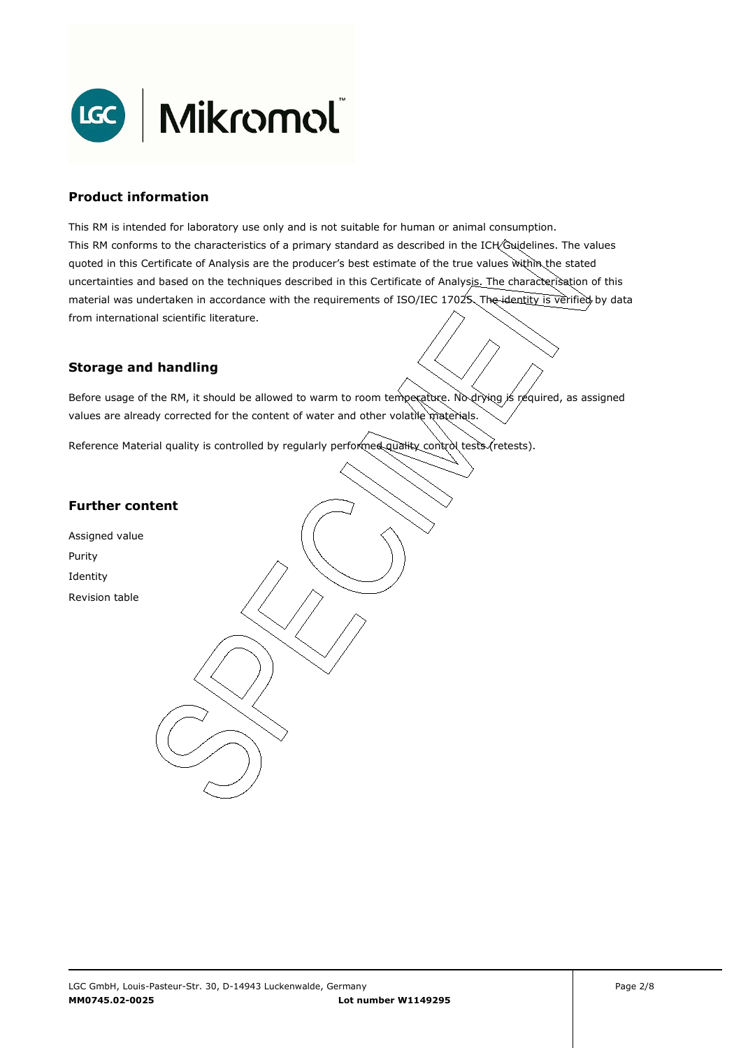

#### **Product information**

This RM is intended for laboratory use only and is not suitable for human or animal consumption. This RM conforms to the characteristics of a primary standard as described in the ICH Guidelines. The values quoted in this Certificate of Analysis are the producer's best estimate of the true values within the stated uncertainties and based on the techniques described in this Certificate of Analysis. The characterisation of this material was undertaken in accordance with the requirements of ISO/IEC 17025. The identity is verified by data from international scientific literature.

## **Storage and handling**

Before usage of the RM, it should be allowed to warm to room temperature. No drying is required, as assigned values are already corrected for the content of water and other volatile materials.

Reference Material quality is controlled by regularly performed quality control tests (retests).

## **Further content**

Assigned value Purity Identity Revision table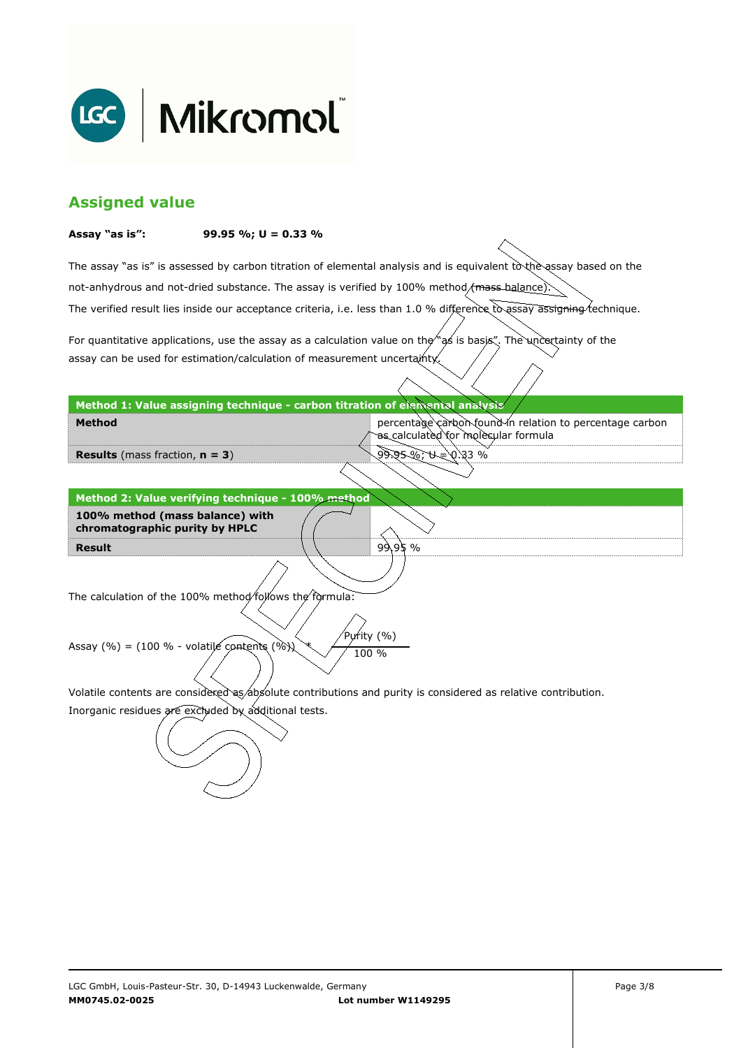

# **Assigned value**

#### **Assay "as is": 99.95 %; U = 0.33 %**

The assay "as is" is assessed by carbon titration of elemental analysis and is equivalent to the assay based on the The verified result lies inside our acceptance criteria, i.e. less than 1.0 % difference to assay assigning technique. not-anhydrous and not-dried substance. The assay is verified by 100% method/mass-balance)

For quantitative applications, use the assay as a calculation value on the  $\gamma$  as is basis". The uncertainty of the assay can be used for estimation/calculation of measurement uncertainty.

#### **Method 1: Value assigning technique - carbon titration of elemental analysis**

percentage carbon found in relation to percentage carbon as calculated for molecular formula

99.95 %; U = 0.33 %

99.95 %

**Results** (mass fraction, **n = 3**)

**Method** 

**Result Method 2: Value verifying technique - 100% method 100% method (mass balance) with chromatographic purity by HPLC** 

The calculation of the 100% method follows the formula:

Purity (%) Assay (%) = (100 % - volatile contents (%)  $\chi$  / 100 %

Volatile contents are considered as absolute contributions and purity is considered as relative contribution.

Inorganic residues are excluded by additional tests.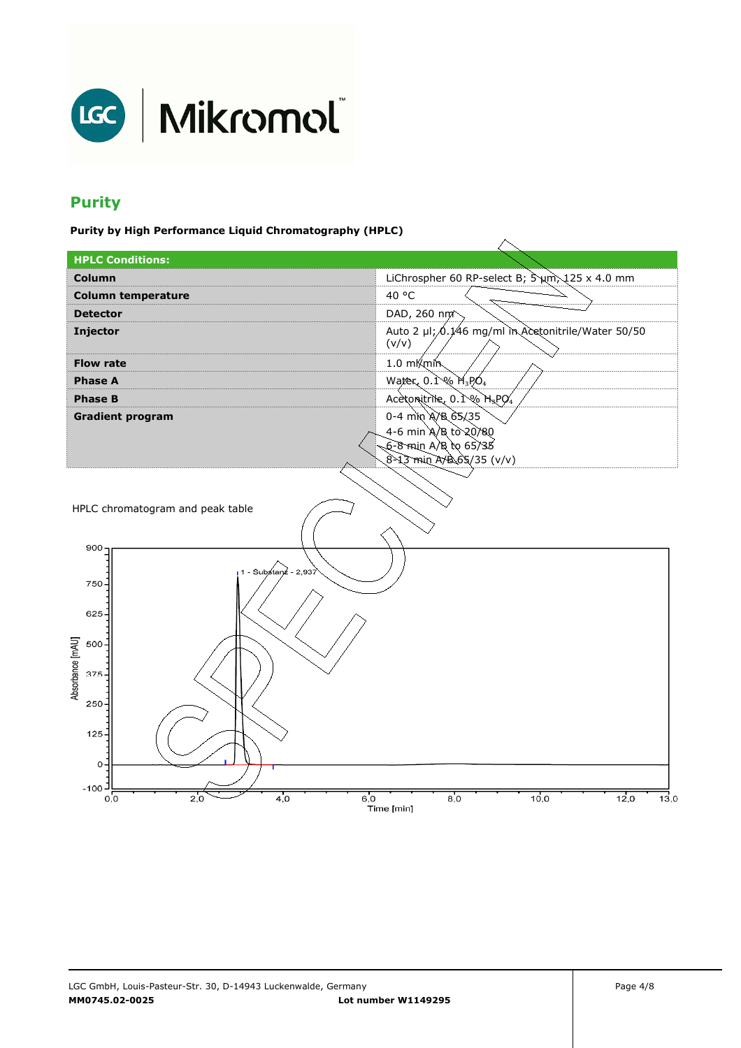

# **Purity**

**Purity by High Performance Liquid Chromatography (HPLC)** 

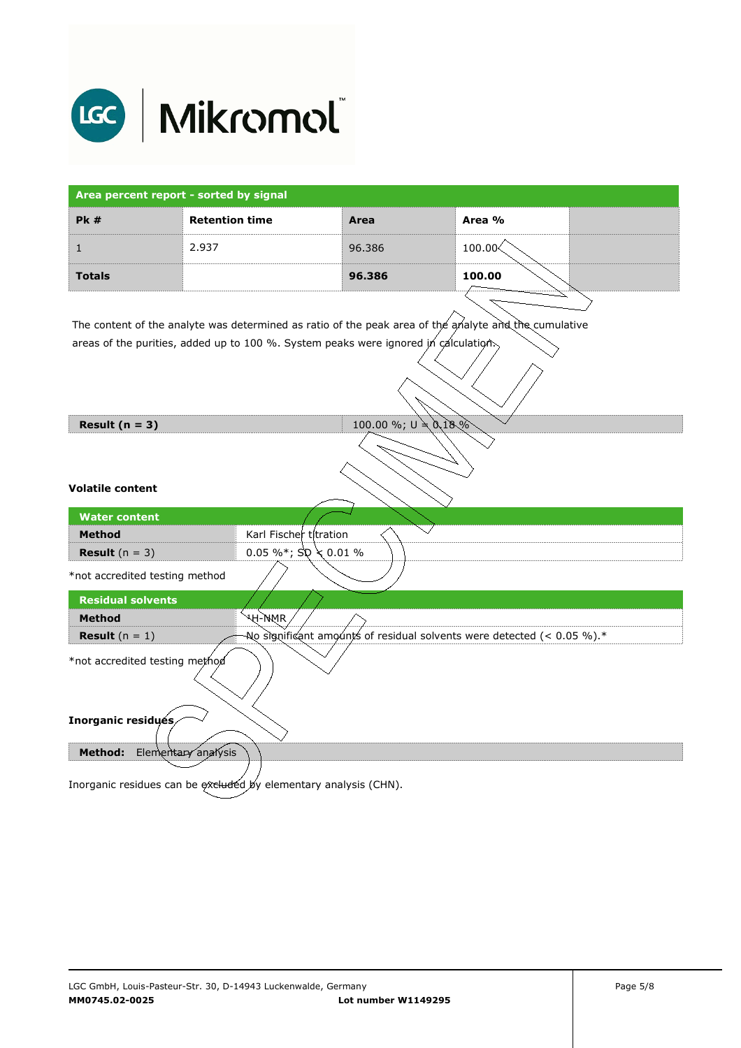

| Area percent report - sorted by signal                                                                |                       |                                                                        |            |  |  |
|-------------------------------------------------------------------------------------------------------|-----------------------|------------------------------------------------------------------------|------------|--|--|
| <b>Pk#</b>                                                                                            | <b>Retention time</b> | Area                                                                   | Area %     |  |  |
| $\mathbf{1}$                                                                                          | 2.937                 | 96.386                                                                 | $100.00\%$ |  |  |
| <b>Totals</b>                                                                                         |                       | 96.386                                                                 | 100.00     |  |  |
| The content of the analyte was determined as ratio of the peak area of the analyte and the cumulative |                       |                                                                        |            |  |  |
| areas of the purities, added up to 100 %. System peaks were ignored in calculation.                   |                       |                                                                        |            |  |  |
| Result $(n = 3)$                                                                                      |                       | 100.00 %; $U \neq 0.18\%$                                              |            |  |  |
| <b>Volatile content</b>                                                                               |                       |                                                                        |            |  |  |
| <b>Water content</b>                                                                                  |                       |                                                                        |            |  |  |
| <b>Method</b>                                                                                         |                       | Karl Fischer titration                                                 |            |  |  |
| <b>Result</b> $(n = 3)$                                                                               |                       | 0.05 %*; $\text{SD} \geq 0.01$ %                                       |            |  |  |
| *not accredited testing method                                                                        |                       |                                                                        |            |  |  |
| <b>Residual solvents</b>                                                                              |                       |                                                                        |            |  |  |
| <b>Method</b>                                                                                         | પ્⊬-ો\MR              |                                                                        |            |  |  |
| <b>Result</b> $(n = 1)$                                                                               |                       | No significant amounts of residual solvents were detected (< 0.05 %).* |            |  |  |
| *not accredited testing method                                                                        |                       |                                                                        |            |  |  |
| Inorganic residués                                                                                    |                       |                                                                        |            |  |  |
| Method:                                                                                               | Elementary analysis   |                                                                        |            |  |  |

Inorganic residues can be excluded by elementary analysis (CHN).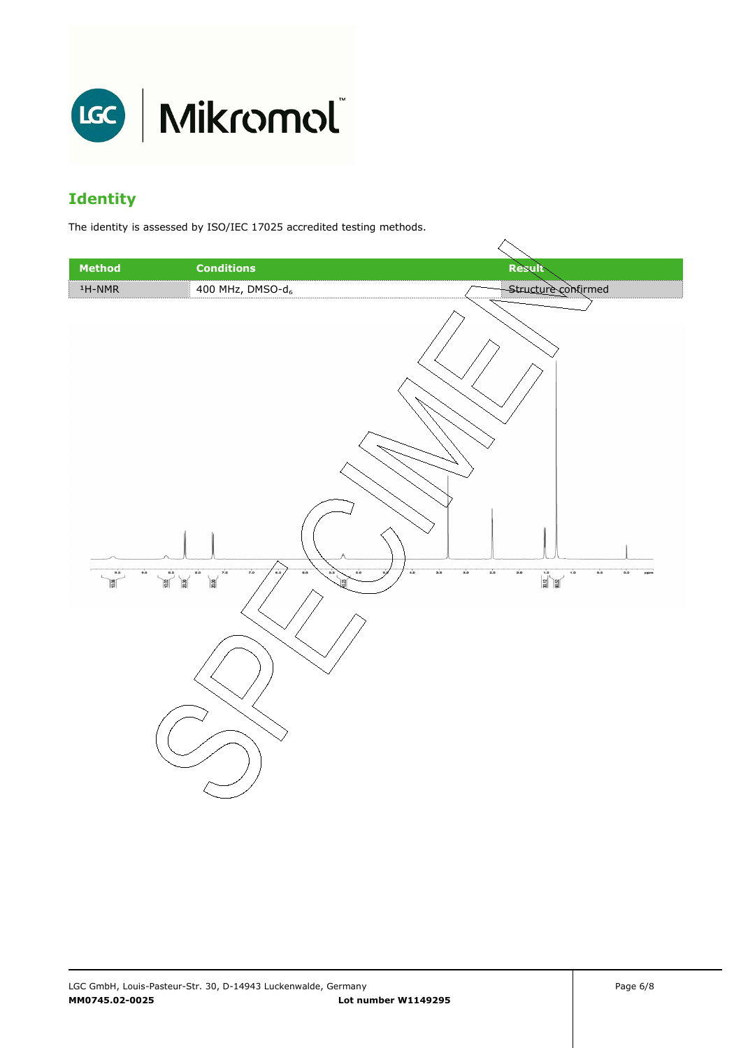

# **Identity**

The identity is assessed by ISO/IEC 17025 accredited testing methods.

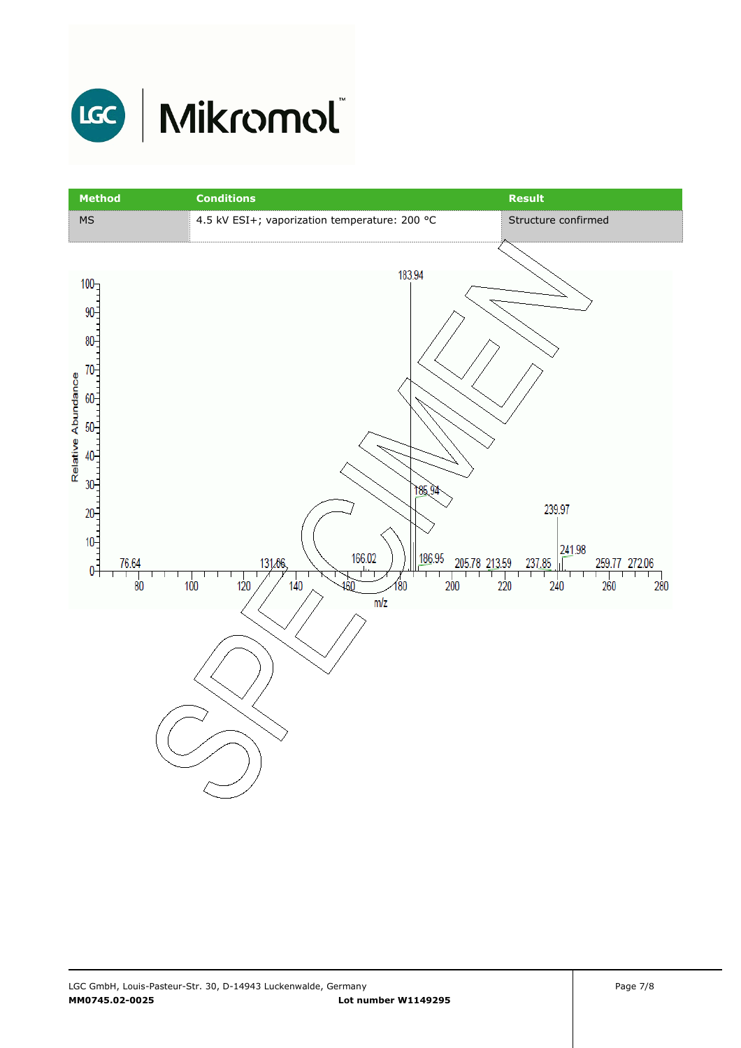